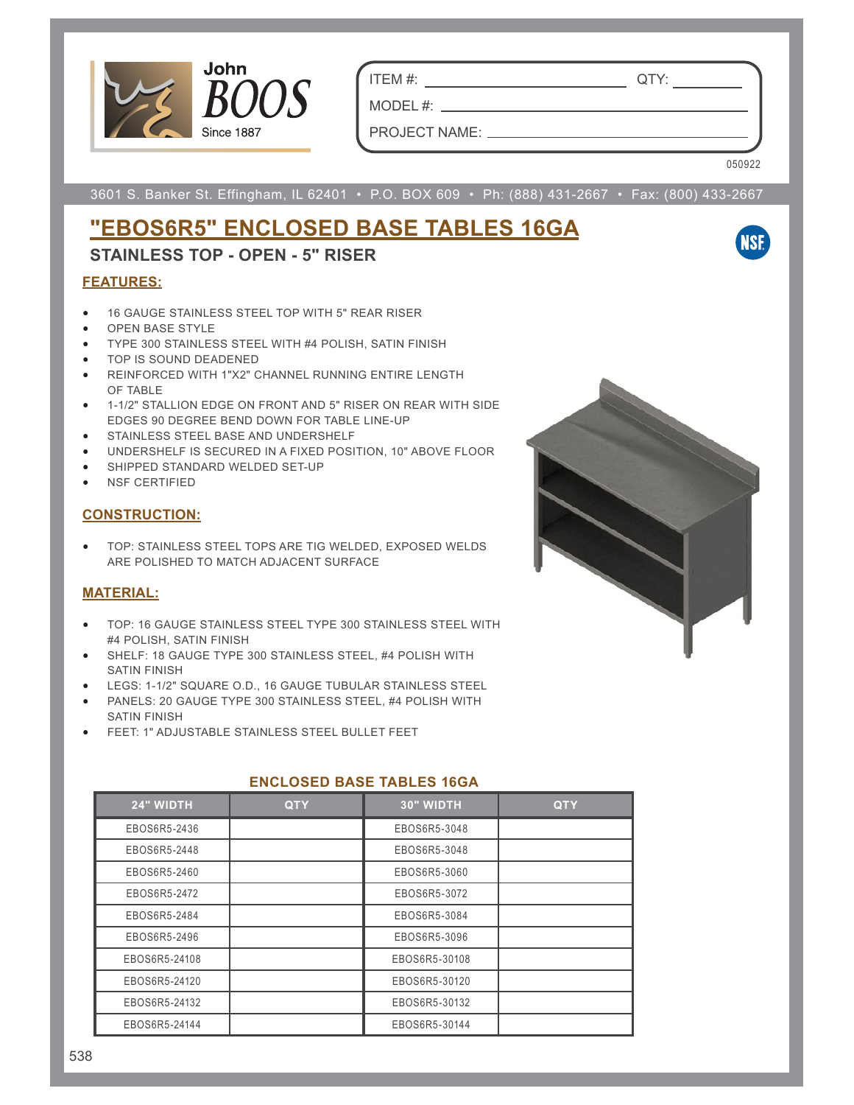

ITEM #: QTY:

PROJECT NAME:

MODEL #:

050922

**NSF** 

3601 S. Banker St. Effingham, IL 62401 • P.O. BOX 609 • Ph: (888) 431-2667 • Fax: (800) 433-2667

# **"EBOS6R5" ENCLOSED BASE TABLES 16GA**

# **STAINLESS TOP - OPEN - 5" RISER**

## **FEATURES:**

- 16 GAUGE STAINLESS STEEL TOP WITH 5" REAR RISER
- OPEN BASE STYLE
- TYPE 300 STAINLESS STEEL WITH #4 POLISH, SATIN FINISH
- TOP IS SOUND DEADENED
- REINFORCED WITH 1"X2" CHANNEL RUNNING ENTIRE LENGTH OF TABLE
- 1-1/2" STALLION EDGE ON FRONT AND 5" RISER ON REAR WITH SIDE EDGES 90 DEGREE BEND DOWN FOR TABLE LINE-UP
- STAINLESS STEEL BASE AND UNDERSHELF
- UNDERSHELF IS SECURED IN A FIXED POSITION, 10" ABOVE FLOOR
- SHIPPED STANDARD WELDED SET-UP
- NSF CERTIFIED

### **CONSTRUCTION:**

• TOP: STAINLESS STEEL TOPS ARE TIG WELDED, EXPOSED WELDS ARE POLISHED TO MATCH ADJACENT SURFACE

#### **MATERIAL:**

- TOP: 16 GAUGE STAINLESS STEEL TYPE 300 STAINLESS STEEL WITH #4 POLISH, SATIN FINISH
- SHELF: 18 GAUGE TYPE 300 STAINLESS STEEL, #4 POLISH WITH SATIN FINISH
- LEGS: 1-1/2" SQUARE O.D., 16 GAUGE TUBULAR STAINLESS STEEL
- PANELS: 20 GAUGE TYPE 300 STAINLESS STEEL, #4 POLISH WITH SATIN FINISH
- FEET: 1" ADJUSTABLE STAINLESS STEEL BULLET FEET

| 24" WIDTH     | <b>QTY</b> | 30" WIDTH     | <b>QTY</b> |
|---------------|------------|---------------|------------|
| EBOS6R5-2436  |            | EBOS6R5-3048  |            |
| EBOS6R5-2448  |            | EBOS6R5-3048  |            |
| EBOS6R5-2460  |            | EBOS6R5-3060  |            |
| EBOS6R5-2472  |            | EBOS6R5-3072  |            |
| EBOS6R5-2484  |            | EBOS6R5-3084  |            |
| EBOS6R5-2496  |            | EBOS6R5-3096  |            |
| EBOS6R5-24108 |            | EBOS6R5-30108 |            |
| EBOS6R5-24120 |            | EBOS6R5-30120 |            |
| EBOS6R5-24132 |            | EBOS6R5-30132 |            |
| EBOS6R5-24144 |            | EBOS6R5-30144 |            |

### **ENCLOSED BASE TABLES 16GA**